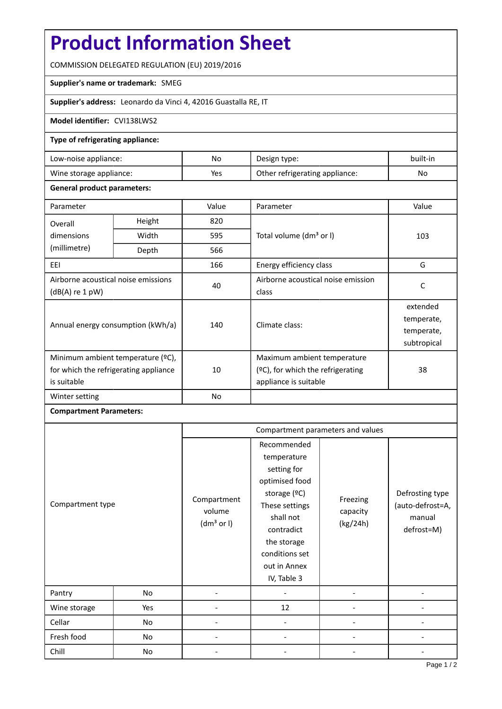# **Product Information Sheet**

COMMISSION DELEGATED REGULATION (EU) 2019/2016

### **Supplier's name or trademark:** SMEG

**Supplier's address:** Leonardo da Vinci 4, 42016 Guastalla RE, IT

### **Model identifier:** CVI138LWS2

#### **Type of refrigerating appliance:**

| Low-noise appliance:    | No  | Design type:                   | built-in |
|-------------------------|-----|--------------------------------|----------|
| Wine storage appliance: | Yes | Other refrigerating appliance: | No       |

#### **General product parameters:**

| Parameter                                                                                 |        | Value | Parameter                                                                                    | Value                                               |
|-------------------------------------------------------------------------------------------|--------|-------|----------------------------------------------------------------------------------------------|-----------------------------------------------------|
| Overall                                                                                   | Height | 820   |                                                                                              | 103                                                 |
| dimensions                                                                                | Width  | 595   | Total volume (dm <sup>3</sup> or I)                                                          |                                                     |
| (millimetre)                                                                              | Depth  | 566   |                                                                                              |                                                     |
| EEI                                                                                       |        | 166   | Energy efficiency class                                                                      | G                                                   |
| Airborne acoustical noise emissions<br>$(dB(A)$ re 1 pW)                                  |        | 40    | Airborne acoustical noise emission<br>class                                                  | C                                                   |
| Annual energy consumption (kWh/a)                                                         |        | 140   | Climate class:                                                                               | extended<br>temperate,<br>temperate,<br>subtropical |
| Minimum ambient temperature (°C),<br>for which the refrigerating appliance<br>is suitable |        | 10    | Maximum ambient temperature<br>$(2C)$ , for which the refrigerating<br>appliance is suitable | 38                                                  |
| Winter setting                                                                            |        | No    |                                                                                              |                                                     |

## **Compartment Parameters:**

|                  |     | Compartment parameters and values               |                                                                                                                                                                                          |                                  |                                                             |
|------------------|-----|-------------------------------------------------|------------------------------------------------------------------------------------------------------------------------------------------------------------------------------------------|----------------------------------|-------------------------------------------------------------|
| Compartment type |     | Compartment<br>volume<br>(dm <sup>3</sup> or I) | Recommended<br>temperature<br>setting for<br>optimised food<br>storage (°C)<br>These settings<br>shall not<br>contradict<br>the storage<br>conditions set<br>out in Annex<br>IV, Table 3 | Freezing<br>capacity<br>(kg/24h) | Defrosting type<br>(auto-defrost=A,<br>manual<br>defrost=M) |
| Pantry           | No  |                                                 |                                                                                                                                                                                          |                                  |                                                             |
| Wine storage     | Yes |                                                 | 12                                                                                                                                                                                       |                                  |                                                             |
| Cellar           | No  |                                                 |                                                                                                                                                                                          |                                  |                                                             |
| Fresh food       | No  |                                                 |                                                                                                                                                                                          |                                  |                                                             |
| Chill            | No  |                                                 |                                                                                                                                                                                          |                                  |                                                             |